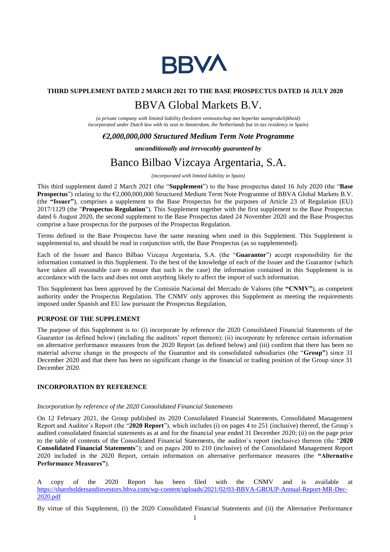

## **THIRD SUPPLEMENT DATED 2 MARCH 2021 TO THE BASE PROSPECTUS DATED 16 JULY 2020**

# BBVA Global Markets B.V.

*(a private company with limited liability (besloten vennootschap met beperkte aansprakelijkheid) incorporated under Dutch law with its seat in Amsterdam, the Netherlands but its tax residency in Spain)*

# *€2,000,000,000 Structured Medium Term Note Programme*

*unconditionally and irrevocably guaranteed by*

# Banco Bilbao Vizcaya Argentaria, S.A.

*(incorporated with limited liability in Spain)*

This third supplement dated 2 March 2021 (the "**Supplement**") to the base prospectus dated 16 July 2020 (the "**Base Prospectus**") relating to the €2,000,000,000 Structured Medium Term Note Programme of BBVA Global Markets B.V. (the **"Issuer"**), comprises a supplement to the Base Prospectus for the purposes of Article 23 of Regulation (EU) 2017/1129 (the "**Prospectus Regulation**"). This Supplement together with the first supplement to the Base Prospectus dated 6 August 2020, the second supplement to the Base Prospectus dated 24 November 2020 and the Base Prospectus comprise a base prospectus for the purposes of the Prospectus Regulation.

Terms defined in the Base Prospectus have the same meaning when used in this Supplement. This Supplement is supplemental to, and should be read in conjunction with, the Base Prospectus (as so supplemented).

Each of the Issuer and Banco Bilbao Vizcaya Argentaria, S.A. (the "**Guarantor**") accept responsibility for the information contained in this Supplement. To the best of the knowledge of each of the Issuer and the Guarantor (which have taken all reasonable care to ensure that such is the case) the information contained in this Supplement is in accordance with the facts and does not omit anything likely to affect the import of such information.

This Supplement has been approved by the Comisión Nacional del Mercado de Valores (the **"CNMV"**), as competent authority under the Prospectus Regulation. The CNMV only approves this Supplement as meeting the requirements imposed under Spanish and EU law pursuant the Prospectus Regulation,

#### **PURPOSE OF THE SUPPLEMENT**

The purpose of this Supplement is to: (i) incorporate by reference the 2020 Consolidated Financial Statements of the Guarantor (as defined below) (including the auditors' report thereon); (ii) incorporate by reference certain information on alternative performance measures from the 2020 Report (as defined below) and (iii) confirm that there has been no material adverse change in the prospects of the Guarantor and its consolidated subsidiaries (the "**Group"**) since 31 December 2020 and that there has been no significant change in the financial or trading position of the Group since 31 December 2020.

#### **INCORPORATION BY REFERENCE**

### *Incorporation by reference of the 2020 Consolidated Financial Statements*

On 12 February 2021, the Group published its 2020 Consolidated Financial Statements, Consolidated Management Report and Auditor´s Report (the "**2020 Report**"), which includes (i) on pages 4 to 251 (inclusive) thereof, the Group´s audited consolidated financial statements as at and for the financial year ended 31 December 2020; (ii) on the page prior to the table of contents of the Consolidated Financial Statements, the auditor´s report (inclusive) thereon (the "**2020 Consolidated Financial Statements**"); and on pages 200 to 210 (inclusive) of the Consolidated Management Report 2020 included in the 2020 Report, certain information on alternative performance measures (the **"Alternative Performance Measures"**).

A copy of the 2020 Report has been filed with the CNMV and is available at https://shareholdersandinvestors.bbva.com/wp-content/uploads/2021/02/03-BBVA-GROUP-Annual-Report-MR-Dec-2020.pdf

By virtue of this Supplement, (i) the 2020 Consolidated Financial Statements and (ii) the Alternative Performance